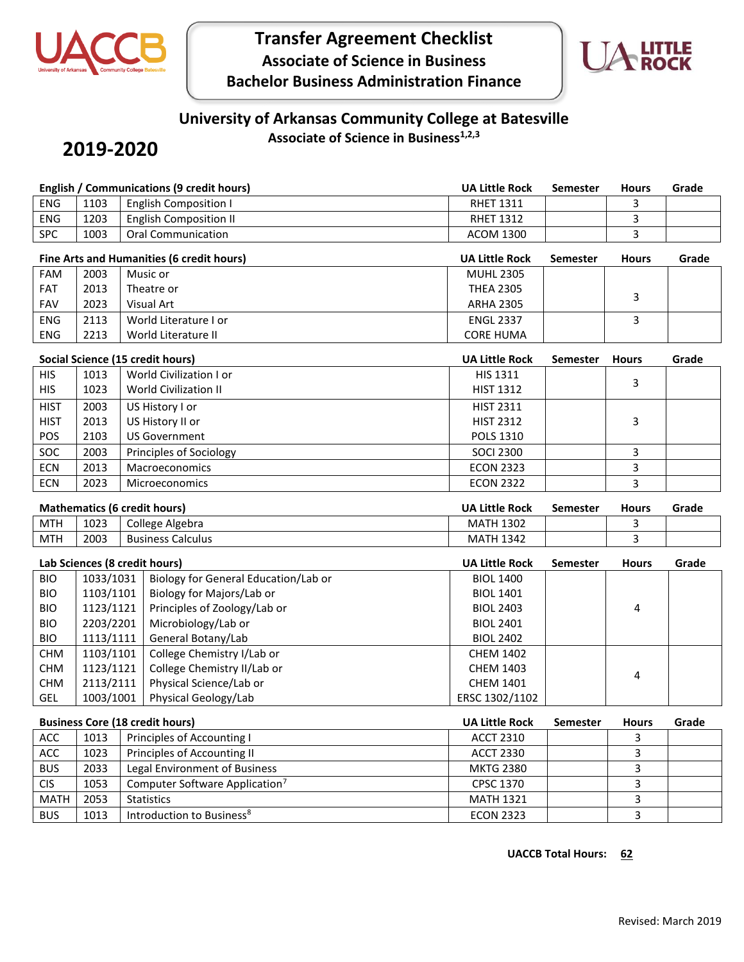

## **Transfer Agreement Checklist Associate of Science in Business Bachelor Business Administration Finance**



## **University of Arkansas Community College at Batesville**

**2019-2020**

**Associate of Science in Business1,2,3**

|                                        |           | <b>English / Communications (9 credit hours)</b>       | <b>UA Little Rock</b> | <b>Semester</b> | <b>Hours</b> | Grade |
|----------------------------------------|-----------|--------------------------------------------------------|-----------------------|-----------------|--------------|-------|
| ENG                                    | 1103      | <b>English Composition I</b>                           | <b>RHET 1311</b>      |                 | 3            |       |
| ENG                                    | 1203      | <b>English Composition II</b>                          | <b>RHET 1312</b>      |                 | 3            |       |
| SPC                                    | 1003      | <b>Oral Communication</b>                              | <b>ACOM 1300</b>      |                 | 3            |       |
|                                        |           | Fine Arts and Humanities (6 credit hours)              | <b>UA Little Rock</b> | <b>Semester</b> | <b>Hours</b> | Grade |
| FAM                                    | 2003      | Music or                                               | <b>MUHL 2305</b>      |                 |              |       |
| FAT                                    | 2013      | Theatre or                                             | <b>THEA 2305</b>      |                 |              |       |
| FAV                                    | 2023      | Visual Art                                             | <b>ARHA 2305</b>      |                 | 3            |       |
| ENG                                    | 2113      | World Literature I or                                  | <b>ENGL 2337</b>      |                 | 3            |       |
| ENG                                    | 2213      | World Literature II                                    | <b>CORE HUMA</b>      |                 |              |       |
|                                        |           | Social Science (15 credit hours)                       | <b>UA Little Rock</b> | <b>Semester</b> | <b>Hours</b> | Grade |
| <b>HIS</b>                             | 1013      | World Civilization I or                                | <b>HIS 1311</b>       |                 |              |       |
| <b>HIS</b>                             | 1023      | <b>World Civilization II</b>                           | <b>HIST 1312</b>      |                 | 3            |       |
| <b>HIST</b>                            | 2003      | US History I or                                        | <b>HIST 2311</b>      |                 |              |       |
| <b>HIST</b>                            | 2013      | US History II or                                       | <b>HIST 2312</b>      |                 | 3            |       |
| POS                                    | 2103      | <b>US Government</b>                                   | POLS 1310             |                 |              |       |
| SOC                                    | 2003      | Principles of Sociology                                | <b>SOCI 2300</b>      |                 | 3            |       |
| <b>ECN</b>                             | 2013      | <b>Macroeconomics</b>                                  | <b>ECON 2323</b>      |                 | 3            |       |
| <b>ECN</b>                             | 2023      | Microeconomics                                         | <b>ECON 2322</b>      |                 | 3            |       |
| <b>Mathematics (6 credit hours)</b>    |           |                                                        | <b>UA Little Rock</b> | <b>Semester</b> | <b>Hours</b> | Grade |
| <b>MTH</b>                             | 1023      | College Algebra                                        | <b>MATH 1302</b>      |                 | 3            |       |
| <b>MTH</b>                             | 2003      | <b>Business Calculus</b>                               | <b>MATH 1342</b>      |                 | 3            |       |
| Lab Sciences (8 credit hours)          |           |                                                        | <b>UA Little Rock</b> | <b>Semester</b> | <b>Hours</b> | Grade |
| <b>BIO</b>                             | 1033/1031 | Biology for General Education/Lab or                   | <b>BIOL 1400</b>      |                 |              |       |
| <b>BIO</b>                             | 1103/1101 | Biology for Majors/Lab or                              | <b>BIOL 1401</b>      |                 |              |       |
| <b>BIO</b>                             | 1123/1121 | Principles of Zoology/Lab or                           | <b>BIOL 2403</b>      |                 | 4            |       |
| <b>BIO</b>                             | 2203/2201 | Microbiology/Lab or                                    | <b>BIOL 2401</b>      |                 |              |       |
| <b>BIO</b>                             | 1113/1111 | General Botany/Lab                                     | <b>BIOL 2402</b>      |                 |              |       |
| <b>CHM</b>                             | 1103/1101 | College Chemistry I/Lab or                             | <b>CHEM 1402</b>      |                 |              |       |
| <b>CHM</b>                             | 1123/1121 | College Chemistry II/Lab or<br>Physical Science/Lab or | <b>CHEM 1403</b>      |                 | 4            |       |
| <b>CHM</b>                             | 2113/2111 |                                                        | <b>CHEM 1401</b>      |                 |              |       |
| GEL                                    | 1003/1001 | Physical Geology/Lab                                   | ERSC 1302/1102        |                 |              |       |
| <b>Business Core (18 credit hours)</b> |           |                                                        | <b>UA Little Rock</b> | <b>Semester</b> | <b>Hours</b> | Grade |
| ACC                                    | 1013      | Principles of Accounting I                             | <b>ACCT 2310</b>      |                 | 3            |       |
| ACC                                    | 1023      | Principles of Accounting II                            | <b>ACCT 2330</b>      |                 | 3            |       |
| <b>BUS</b>                             | 2033      | Legal Environment of Business                          | <b>MKTG 2380</b>      |                 | 3            |       |
| <b>CIS</b>                             | 1053      | Computer Software Application <sup>7</sup>             | CPSC 1370             |                 | 3            |       |

MATH 2053 Statistics MATH 1321 3 BUS 1013 Introduction to Business<sup>8</sup> ECON 2323 3

**UACCB** Total Hours: 62